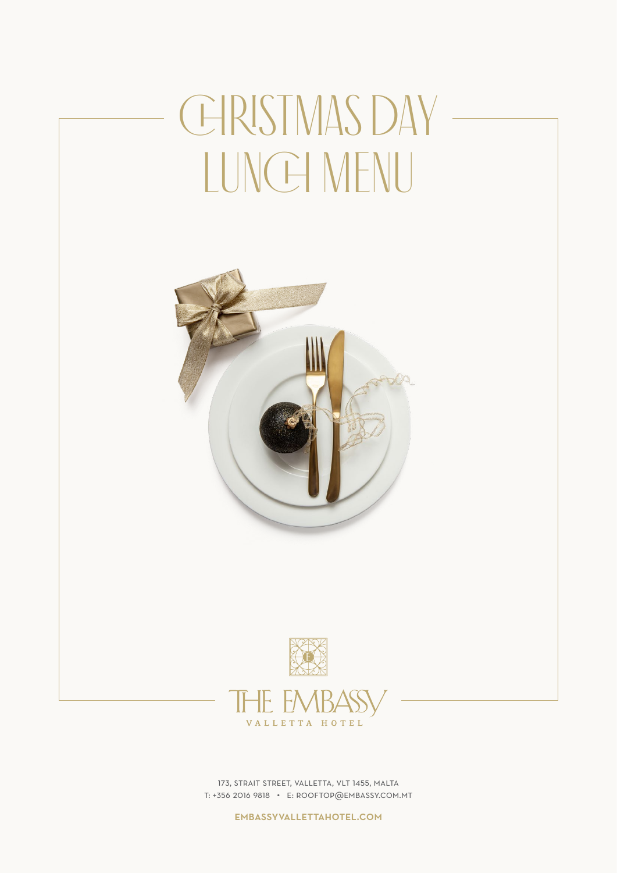# CHRISTMAS DAY -LUNCH MENU





173, strait street, valletta, vlt 1455, malta t: +356 2016 9818 • e: rooftop@embassy.com.mt

embassyvallettahotel.com